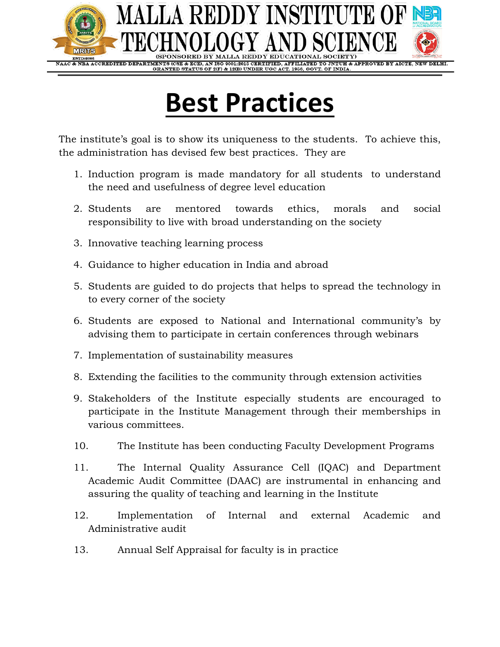

# **Best Practices**

The institute's goal is to show its uniqueness to the students. To achieve this, the administration has devised few best practices. They are

- 1. Induction program is made mandatory for all students to understand the need and usefulness of degree level education
- 2. Students are mentored towards ethics, morals and social responsibility to live with broad understanding on the society
- 3. Innovative teaching learning process
- 4. Guidance to higher education in India and abroad
- 5. Students are guided to do projects that helps to spread the technology in to every corner of the society
- 6. Students are exposed to National and International community's by advising them to participate in certain conferences through webinars
- 7. Implementation of sustainability measures
- 8. Extending the facilities to the community through extension activities
- 9. Stakeholders of the Institute especially students are encouraged to participate in the Institute Management through their memberships in various committees.
- 10. The Institute has been conducting Faculty Development Programs
- 11. The Internal Quality Assurance Cell (IQAC) and Department Academic Audit Committee (DAAC) are instrumental in enhancing and assuring the quality of teaching and learning in the Institute
- 12. Implementation of Internal and external Academic and Administrative audit
- 13. Annual Self Appraisal for faculty is in practice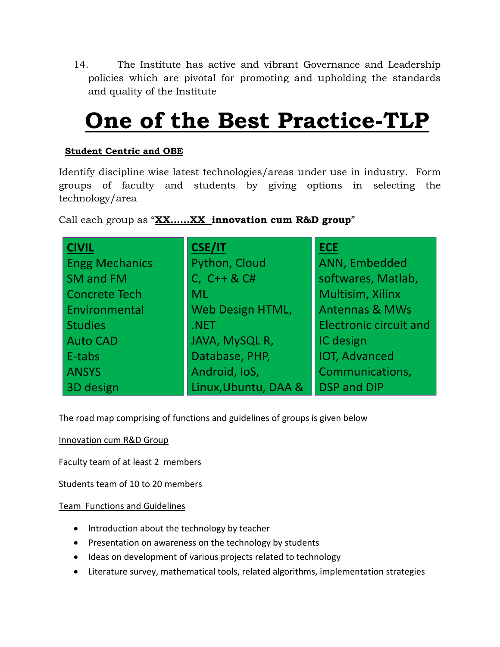14. The Institute has active and vibrant Governance and Leadership policies which are pivotal for promoting and upholding the standards and quality of the Institute

# **One of the Best Practice-TLP**

# **Student Centric and OBE**

Identify discipline wise latest technologies/areas under use in industry. Form groups of faculty and students by giving options in selecting the technology/area

Call each group as "**XX……XX innovation cum R&D group**"

| <b>CIVIL</b>          | <b>CSE/IT</b>        | <b>ECE</b>                    |
|-----------------------|----------------------|-------------------------------|
| <b>Engg Mechanics</b> | Python, Cloud        | ANN, Embedded                 |
| SM and FM             | C, $C++&C#$          | softwares, Matlab,            |
| <b>Concrete Tech</b>  | <b>ML</b>            | Multisim, Xilinx              |
| Environmental         | Web Design HTML,     | <b>Antennas &amp; MWs</b>     |
| <b>Studies</b>        | .NET                 | <b>Electronic circuit and</b> |
| <b>Auto CAD</b>       | JAVA, MySQL R,       | IC design                     |
| E-tabs                | Database, PHP,       | <b>IOT, Advanced</b>          |
| <b>ANSYS</b>          | Android, IoS,        | Communications,               |
| 3D design             | Linux, Ubuntu, DAA & | <b>DSP and DIP</b>            |

The road map comprising of functions and guidelines of groups is given below

Innovation cum R&D Group

Faculty team of at least 2 members

Students team of 10 to 20 members

#### Team Functions and Guidelines

- Introduction about the technology by teacher
- Presentation on awareness on the technology by students
- Ideas on development of various projects related to technology
- Literature survey, mathematical tools, related algorithms, implementation strategies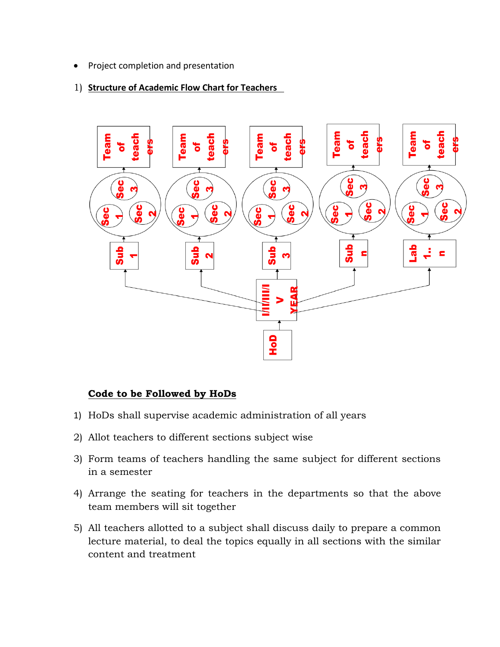• Project completion and presentation

#### 1) **Structure of Academic Flow Chart for Teachers**



# **Code to be Followed by HoDs**

- 1) HoDs shall supervise academic administration of all years
- 2) Allot teachers to different sections subject wise
- 3) Form teams of teachers handling the same subject for different sections in a semester
- 4) Arrange the seating for teachers in the departments so that the above team members will sit together
- 5) All teachers allotted to a subject shall discuss daily to prepare a common lecture material, to deal the topics equally in all sections with the similar content and treatment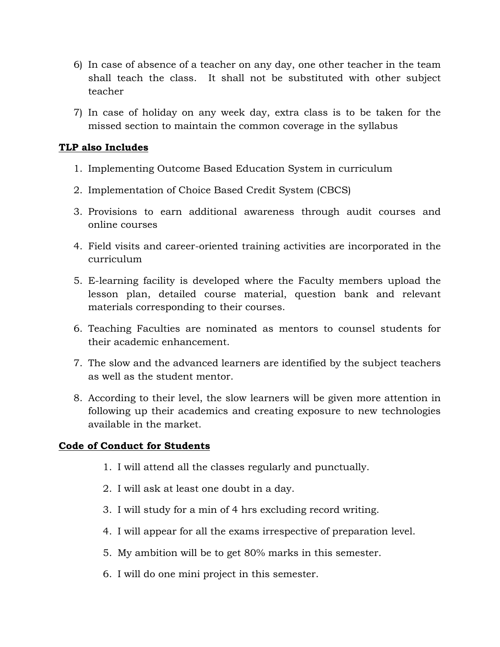- 6) In case of absence of a teacher on any day, one other teacher in the team shall teach the class. It shall not be substituted with other subject teacher
- 7) In case of holiday on any week day, extra class is to be taken for the missed section to maintain the common coverage in the syllabus

# **TLP also Includes**

- 1. Implementing Outcome Based Education System in curriculum
- 2. Implementation of Choice Based Credit System (CBCS)
- 3. Provisions to earn additional awareness through audit courses and online courses
- 4. Field visits and career-oriented training activities are incorporated in the curriculum
- 5. E-learning facility is developed where the Faculty members upload the lesson plan, detailed course material, question bank and relevant materials corresponding to their courses.
- 6. Teaching Faculties are nominated as mentors to counsel students for their academic enhancement.
- 7. The slow and the advanced learners are identified by the subject teachers as well as the student mentor.
- 8. According to their level, the slow learners will be given more attention in following up their academics and creating exposure to new technologies available in the market.

# **Code of Conduct for Students**

- 1. I will attend all the classes regularly and punctually.
- 2. I will ask at least one doubt in a day.
- 3. I will study for a min of 4 hrs excluding record writing.
- 4. I will appear for all the exams irrespective of preparation level.
- 5. My ambition will be to get 80% marks in this semester.
- 6. I will do one mini project in this semester.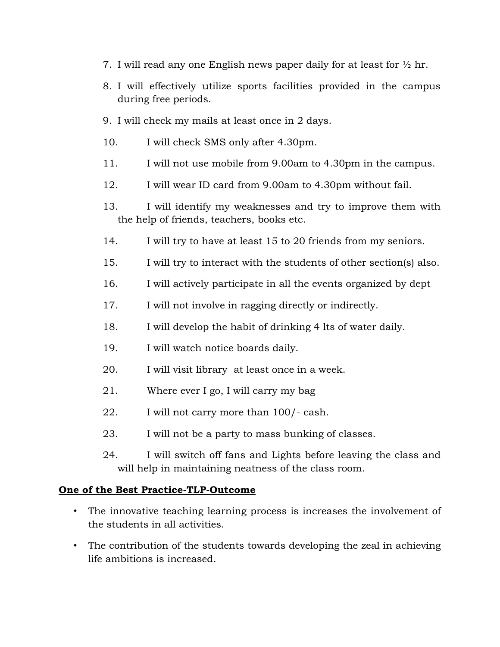- 7. I will read any one English news paper daily for at least for  $\frac{1}{2}$  hr.
- 8. I will effectively utilize sports facilities provided in the campus during free periods.
- 9. I will check my mails at least once in 2 days.
- 10. I will check SMS only after 4.30pm.
- 11. I will not use mobile from 9.00am to 4.30pm in the campus.
- 12. I will wear ID card from 9.00am to 4.30pm without fail.
- 13. I will identify my weaknesses and try to improve them with the help of friends, teachers, books etc.
- 14. I will try to have at least 15 to 20 friends from my seniors.
- 15. I will try to interact with the students of other section(s) also.
- 16. I will actively participate in all the events organized by dept
- 17. I will not involve in ragging directly or indirectly.
- 18. I will develop the habit of drinking 4 lts of water daily.
- 19. I will watch notice boards daily.
- 20. I will visit library at least once in a week.
- 21. Where ever I go, I will carry my bag
- 22. I will not carry more than 100/- cash.
- 23. I will not be a party to mass bunking of classes.
- 24. I will switch off fans and Lights before leaving the class and will help in maintaining neatness of the class room.

#### **One of the Best Practice-TLP-Outcome**

- The innovative teaching learning process is increases the involvement of the students in all activities.
- The contribution of the students towards developing the zeal in achieving life ambitions is increased.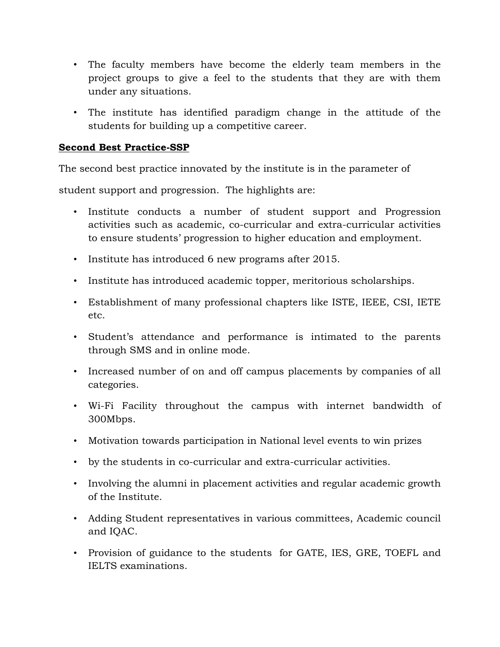- The faculty members have become the elderly team members in the project groups to give a feel to the students that they are with them under any situations.
- The institute has identified paradigm change in the attitude of the students for building up a competitive career.

# **Second Best Practice-SSP**

The second best practice innovated by the institute is in the parameter of

student support and progression. The highlights are:

- Institute conducts a number of student support and Progression activities such as academic, co-curricular and extra-curricular activities to ensure students' progression to higher education and employment.
- Institute has introduced 6 new programs after 2015.
- Institute has introduced academic topper, meritorious scholarships.
- Establishment of many professional chapters like ISTE, IEEE, CSI, IETE etc.
- Student's attendance and performance is intimated to the parents through SMS and in online mode.
- Increased number of on and off campus placements by companies of all categories.
- Wi-Fi Facility throughout the campus with internet bandwidth of 300Mbps.
- Motivation towards participation in National level events to win prizes
- by the students in co-curricular and extra-curricular activities.
- Involving the alumni in placement activities and regular academic growth of the Institute.
- Adding Student representatives in various committees, Academic council and IQAC.
- Provision of guidance to the students for GATE, IES, GRE, TOEFL and IELTS examinations.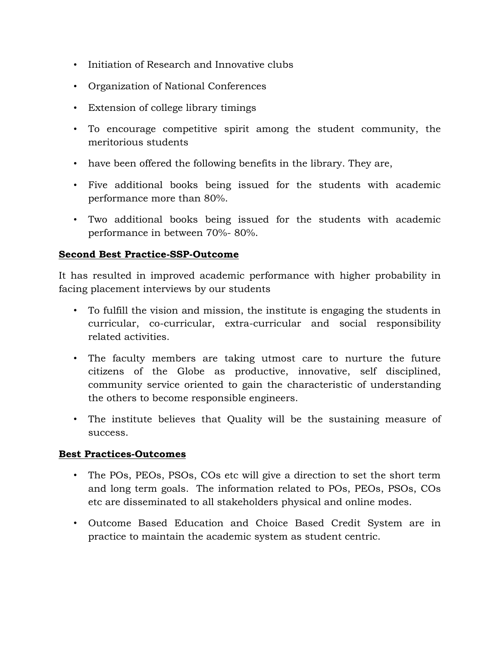- Initiation of Research and Innovative clubs
- Organization of National Conferences
- Extension of college library timings
- To encourage competitive spirit among the student community, the meritorious students
- have been offered the following benefits in the library. They are,
- Five additional books being issued for the students with academic performance more than 80%.
- Two additional books being issued for the students with academic performance in between 70%- 80%.

# **Second Best Practice-SSP-Outcome**

It has resulted in improved academic performance with higher probability in facing placement interviews by our students

- To fulfill the vision and mission, the institute is engaging the students in curricular, co-curricular, extra-curricular and social responsibility related activities.
- The faculty members are taking utmost care to nurture the future citizens of the Globe as productive, innovative, self disciplined, community service oriented to gain the characteristic of understanding the others to become responsible engineers.
- The institute believes that Quality will be the sustaining measure of success.

# **Best Practices-Outcomes**

- The POs, PEOs, PSOs, COs etc will give a direction to set the short term and long term goals. The information related to POs, PEOs, PSOs, COs etc are disseminated to all stakeholders physical and online modes.
- Outcome Based Education and Choice Based Credit System are in practice to maintain the academic system as student centric.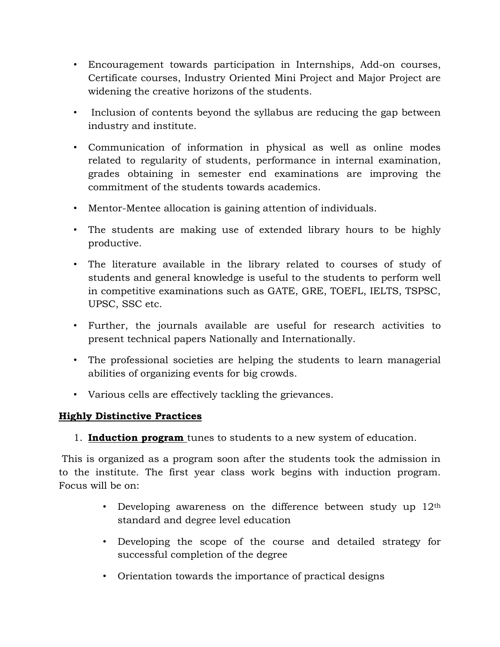- Encouragement towards participation in Internships, Add-on courses, Certificate courses, Industry Oriented Mini Project and Major Project are widening the creative horizons of the students.
- Inclusion of contents beyond the syllabus are reducing the gap between industry and institute.
- Communication of information in physical as well as online modes related to regularity of students, performance in internal examination, grades obtaining in semester end examinations are improving the commitment of the students towards academics.
- Mentor-Mentee allocation is gaining attention of individuals.
- The students are making use of extended library hours to be highly productive.
- The literature available in the library related to courses of study of students and general knowledge is useful to the students to perform well in competitive examinations such as GATE, GRE, TOEFL, IELTS, TSPSC, UPSC, SSC etc.
- Further, the journals available are useful for research activities to present technical papers Nationally and Internationally.
- The professional societies are helping the students to learn managerial abilities of organizing events for big crowds.
- Various cells are effectively tackling the grievances.

# **Highly Distinctive Practices**

1. **Induction program** tunes to students to a new system of education.

This is organized as a program soon after the students took the admission in to the institute. The first year class work begins with induction program. Focus will be on:

- Developing awareness on the difference between study up  $12<sup>th</sup>$ standard and degree level education
- Developing the scope of the course and detailed strategy for successful completion of the degree
- Orientation towards the importance of practical designs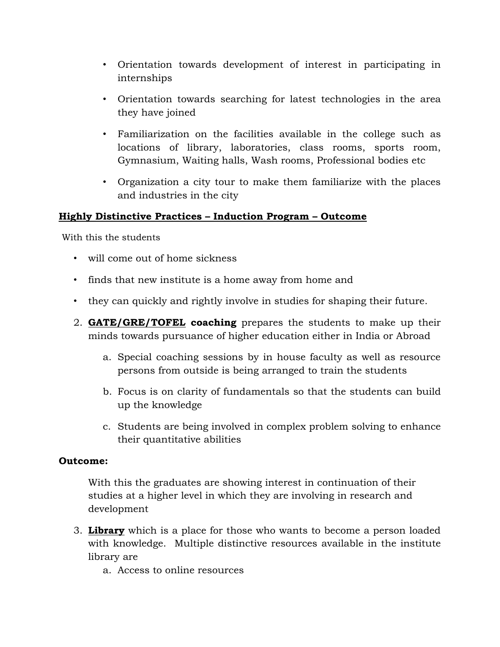- Orientation towards development of interest in participating in internships
- Orientation towards searching for latest technologies in the area they have joined
- Familiarization on the facilities available in the college such as locations of library, laboratories, class rooms, sports room, Gymnasium, Waiting halls, Wash rooms, Professional bodies etc
- Organization a city tour to make them familiarize with the places and industries in the city

#### **Highly Distinctive Practices – Induction Program – Outcome**

With this the students

- will come out of home sickness
- finds that new institute is a home away from home and
- they can quickly and rightly involve in studies for shaping their future.
- 2. **GATE/GRE/TOFEL coaching** prepares the students to make up their minds towards pursuance of higher education either in India or Abroad
	- a. Special coaching sessions by in house faculty as well as resource persons from outside is being arranged to train the students
	- b. Focus is on clarity of fundamentals so that the students can build up the knowledge
	- c. Students are being involved in complex problem solving to enhance their quantitative abilities

#### **Outcome:**

With this the graduates are showing interest in continuation of their studies at a higher level in which they are involving in research and development

- 3. **Library** which is a place for those who wants to become a person loaded with knowledge. Multiple distinctive resources available in the institute library are
	- a. Access to online resources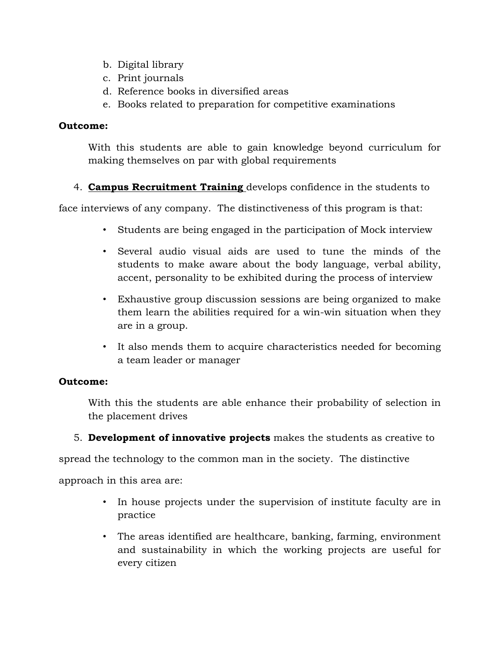- b. Digital library
- c. Print journals
- d. Reference books in diversified areas
- e. Books related to preparation for competitive examinations

#### **Outcome:**

With this students are able to gain knowledge beyond curriculum for making themselves on par with global requirements

4. **Campus Recruitment Training** develops confidence in the students to

face interviews of any company. The distinctiveness of this program is that:

- Students are being engaged in the participation of Mock interview
- Several audio visual aids are used to tune the minds of the students to make aware about the body language, verbal ability, accent, personality to be exhibited during the process of interview
- Exhaustive group discussion sessions are being organized to make them learn the abilities required for a win-win situation when they are in a group.
- It also mends them to acquire characteristics needed for becoming a team leader or manager

# **Outcome:**

With this the students are able enhance their probability of selection in the placement drives

5. **Development of innovative projects** makes the students as creative to

spread the technology to the common man in the society. The distinctive

approach in this area are:

- In house projects under the supervision of institute faculty are in practice
- The areas identified are healthcare, banking, farming, environment and sustainability in which the working projects are useful for every citizen